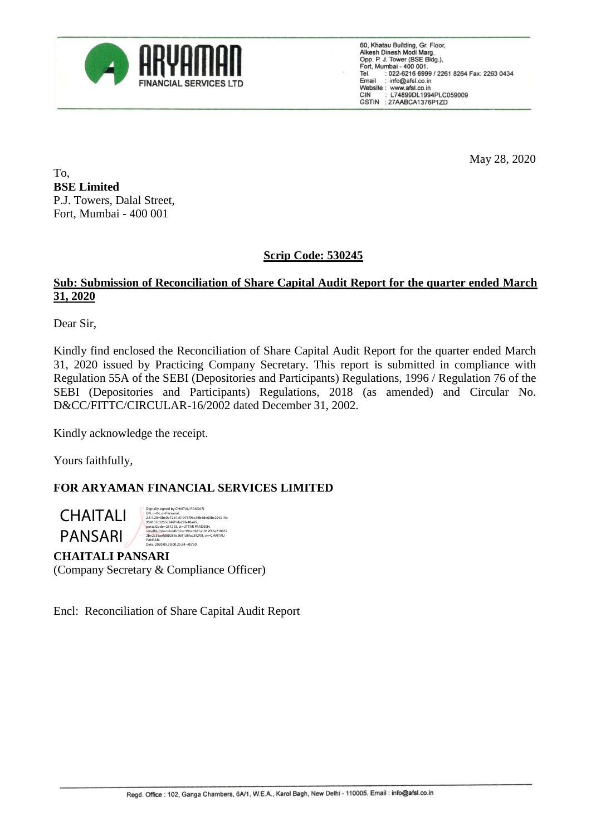

60, Khatau Building, Gr. Floor, Alkesh Dinesh Modi Marg,<br>Opp. P. J. Tower (BSE Bldg.), Port, Mumbai - 400 001.<br>Tel. : 022-6216 6999 / 2261 8264 Fax: 2263 0434<br>Email : info@afsl.co.in Website: www.afsl.co.in L74899DL1994PLC059009 **CIN** GSTIN : 27AABCA1376P1ZD

May 28, 2020

To, **BSE Limited** P.J. Towers, Dalal Street, Fort, Mumbai - 400 001

# **Scrip Code: 530245**

#### **Sub: Submission of Reconciliation of Share Capital Audit Report for the quarter ended March 31, 2020**

Dear Sir,

Kindly find enclosed the Reconciliation of Share Capital Audit Report for the quarter ended March 31, 2020 issued by Practicing Company Secretary. This report is submitted in compliance with Regulation 55A of the SEBI (Depositories and Participants) Regulations, 1996 / Regulation 76 of the SEBI (Depositories and Participants) Regulations, 2018 (as amended) and Circular No. D&CC/FITTC/CIRCULAR-16/2002 dated December 31, 2002.

Kindly acknowledge the receipt.

Yours faithfully,

## **FOR ARYAMAN FINANCIAL SERVICES LIMITED**

**CHAITALI** PANSARI



## **CHAITALI PANSARI**

(Company Secretary & Compliance Officer)

Encl: Reconciliation of Share Capital Audit Report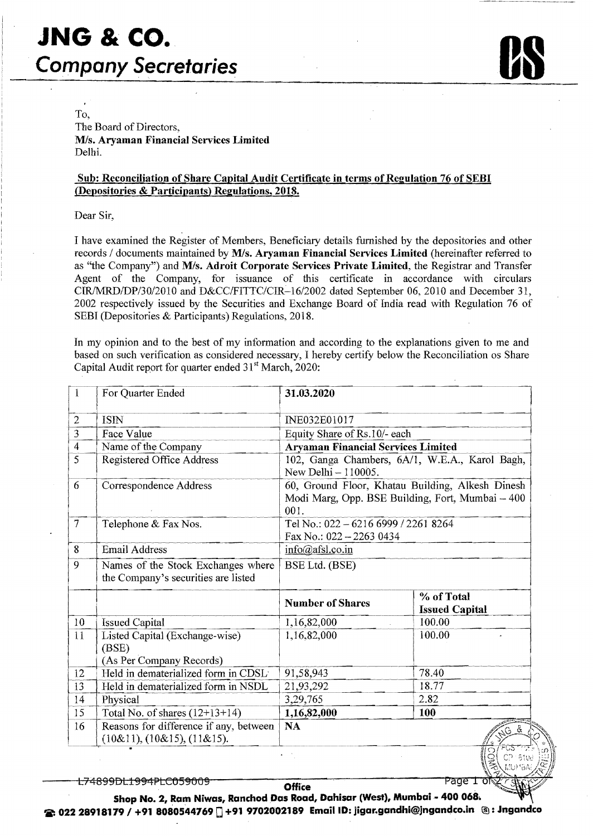

To, The Board of Directors, *MIs.* Aryaman Financial Services Limited Delhi.

#### Sub: Reconciliation of Share Capital Audit Certificate in terms of Regulation 76 of SEBI (Depositories & Participants) Regulations, 2018.

Dear Sir,

I have examined the Register of Members, Beneficiary details furnished by the depositories and other records *I* documents maintained by *MIs.* Aryaman Financial Services Limited (hereinafter referred to as "the Company") and *MIs.* Adroit Corporate Services Private Limited, the Registrar and Transfer Agent of the Company, for issuance of this certificate in accordance with circulars *CIRIMRDIDP/3012010* and *D&CCIFITTCICIR-16/2002* dated September 06, 2010 and December 31, 2002 respectively issued by the Securities and Exchange Board of India read with Regulation 76 of SEBl (Depositories & Participants) Regulations, 2018.

In my opinion and to the best of my infonnation and according to the explanations given to me and based on such verification as considered necessary, I hereby certify below the Reconciliation os Share Capital Audit report for quarter ended  $31<sup>st</sup> March, 2020$ :

| $\mathbf{1}$    | For Quarter Ended                                                         | 31.03.2020                                                                                                   |                                     |  |  |  |
|-----------------|---------------------------------------------------------------------------|--------------------------------------------------------------------------------------------------------------|-------------------------------------|--|--|--|
| $\overline{c}$  | <b>ISIN</b>                                                               | INE032E01017                                                                                                 |                                     |  |  |  |
| 3               | Face Value                                                                | Equity Share of Rs.10/- each                                                                                 |                                     |  |  |  |
| $\overline{4}$  | Name of the Company                                                       | <b>Aryaman Financial Services Limited</b>                                                                    |                                     |  |  |  |
| 5               | <b>Registered Office Address</b>                                          | 102, Ganga Chambers, 6A/1, W.E.A., Karol Bagh,<br>New Delhi - 110005.                                        |                                     |  |  |  |
| 6               | Correspondence Address                                                    | 60, Ground Floor, Khatau Building, Alkesh Dinesh<br>Modi Marg, Opp. BSE Building, Fort, Mumbai - 400<br>001. |                                     |  |  |  |
| $7\phantom{.0}$ | Telephone & Fax Nos.                                                      | Tel No.: 022 - 6216 6999 / 2261 8264<br>Fax No.: 022 - 2263 0434                                             |                                     |  |  |  |
| 8               | <b>Email Address</b>                                                      | info@afsl.co.in                                                                                              |                                     |  |  |  |
| 9               | Names of the Stock Exchanges where<br>the Company's securities are listed | BSE Ltd. (BSE)                                                                                               |                                     |  |  |  |
|                 |                                                                           | <b>Number of Shares</b>                                                                                      | % of Total<br><b>Issued Capital</b> |  |  |  |
| 10              | <b>Issued Capital</b>                                                     | 1,16,82,000                                                                                                  | 100.00                              |  |  |  |
| 11              | Listed Capital (Exchange-wise)<br>(BSE)<br>(As Per Company Records)       | 1,16,82,000                                                                                                  | 100.00                              |  |  |  |
| 12              | Held in dematerialized form in CDSL                                       | 91,58,943                                                                                                    | 78.40                               |  |  |  |
| 13              | Held in dematerialized form in NSDL                                       | 21,93,292                                                                                                    | 18.77                               |  |  |  |
| 14              | Physical                                                                  | 3,29,765                                                                                                     | 2.82                                |  |  |  |
| 15              | Total No. of shares $(12+13+14)$                                          | 1,16,82,000                                                                                                  | 100                                 |  |  |  |
| 16              | Reasons for difference if any, between<br>$(10\&11), (10\&15), (11\&15).$ | <b>NA</b>                                                                                                    | 368<br>দক্ষে<br>റ                   |  |  |  |

Page

<del>L74899DL1994PLC059009</del>

**Office** 

Shop No. 2, Ram Niwas, Ranchod Das Road, Dahisar (West), Mumbai - 400 068. 2: 022 28918179 / +91 8080544769 [] +91 9702002189 Email ID: jigar.gandhi@jngandco.in ©: Jngandco